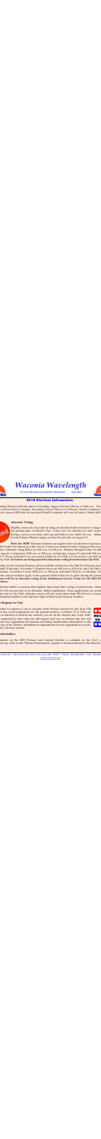

*Waconia Wavelength*

*A City of Waconia Newsletter Publication July 2018*



of Waconia ~ 201 South Vine Street, Waconia, MN 55387 ~ Phone: 952-442-2184 ~ Fax: 952-442 [www.waconia.org](http://www.waconia.org)

## **2018 Election Information**

imary Election will take place on Tuesday, August 14 from 7:00 a.m. to 8:00 p.m. The n will be held on Tuesday, November 6 from 7:00 a.m. to 8:00 p.m. Ward I residents v a Ice Arena (1250 Oak Avenue) and Ward II residents will vote at Trinity Church (601



Eligible voters can vote early by using an absentee ballot, instead of voting in the polling place on Election Day. Voters can vote absentee by mail, in-per having a person you know pick up and deliver your ballot for you. Absent for the Primary Election begins on June 29 and ends on August 13.

New for 2018! Waconia residents can register and vote absentee in-person 201 South Vine Street) or at the Carver County Government Center (Taxpayer Services ka). Absentee voting hours are 8:00 a.m. to 4:30 p.m., Monday through Friday. In addition, Chaska mentalition, C open for voting from 10:00 a.m. to 3:00 p.m. on Saturday, August 11 and until 5:00 p.m. t 13. Please note that if you are issued a ballot at City Hall, you do need to vote that sa lity Hall. **No ballots are being issued for take-home voting from Waconia City Hall.** 

bting for the General Election will be available at Waconia City Hall (for Waconia resid nber 21 through November 5. Regular hours are 8:00 a.m. to 4:30 p.m., but City Hall w

tturday, November 3 from 10:00 a.m. to 3:00 p.m. and until 5:00 p.m. on Monday, N ules and procedures apply to the general election that are in place during the prim **nere will be no absentee voting at the Chanhassen Service Center for the 2018 Pr** ections.

bsentee ballot is a process that requires more steps than voting on election day. Abse d to fill out and turn in an Absentee Ballot Application. These applications are availa ite and at City Hall. Absentee voters will also need either their MN Driver's Licens tification) number or the last four digits of their Social Security Number.

#### **D** Register to Vote

ember to register to vote in advance of the Primary election by July 24 at 5:00 st day of pre-registration for the general election is October 12 at 5:00 p.m. in advance of election day ensures you are on the election day roster. Indiregistered by these date can still register and vote on election day, but will out new registration information and bring identification information to the day of the election. Identification requirements for new registrants are availality's election website.



#### **nformation**

mation on the 2018 Primary and General Election is available on the City's nia.org. Click on the "Election Information" graphic to be taken directly to the Election

## **Absentee Voting**